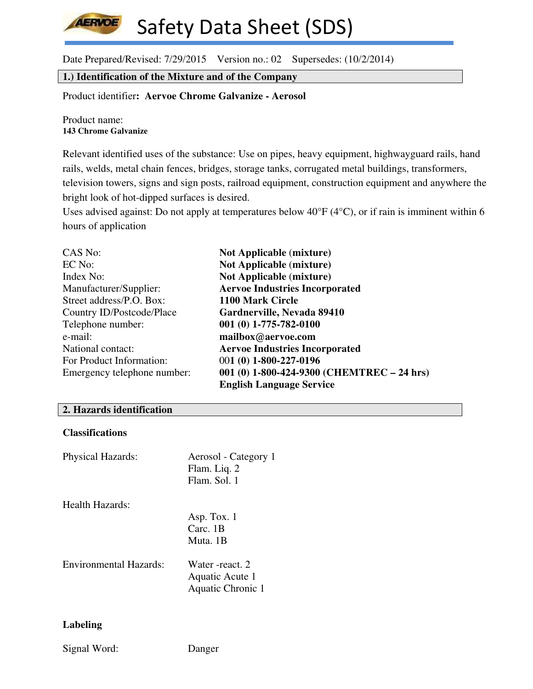Date Prepared/Revised: 7/29/2015 Version no.: 02 Supersedes: (10/2/2014)

**1.) Identification of the Mixture and of the Company**

Product identifier**: Aervoe Chrome Galvanize - Aerosol** 

Product name: **143 Chrome Galvanize**

**AERVOE** 

Relevant identified uses of the substance: Use on pipes, heavy equipment, highwayguard rails, hand rails, welds, metal chain fences, bridges, storage tanks, corrugated metal buildings, transformers, television towers, signs and sign posts, railroad equipment, construction equipment and anywhere the bright look of hot-dipped surfaces is desired.

Uses advised against: Do not apply at temperatures below 40°F (4°C), or if rain is imminent within 6 hours of application

| CAS No:                     | <b>Not Applicable (mixture)</b>               |
|-----------------------------|-----------------------------------------------|
| EC No:                      | <b>Not Applicable (mixture)</b>               |
| Index No:                   | <b>Not Applicable (mixture)</b>               |
| Manufacturer/Supplier:      | <b>Aervoe Industries Incorporated</b>         |
| Street address/P.O. Box:    | 1100 Mark Circle                              |
| Country ID/Postcode/Place   | Gardnerville, Nevada 89410                    |
| Telephone number:           | $001(0)$ 1-775-782-0100                       |
| e-mail:                     | mailbox@aervoe.com                            |
| National contact:           | <b>Aervoe Industries Incorporated</b>         |
| For Product Information:    | 001 (0) 1-800-227-0196                        |
| Emergency telephone number: | 001 (0) $1-800-424-9300$ (CHEMTREC $-24$ hrs) |
|                             | <b>English Language Service</b>               |

#### **2. Hazards identification**

# **Classifications**

| <b>Physical Hazards:</b> | Aerosol - Category 1<br>Flam. Liq. 2<br>Flam. Sol. 1 |
|--------------------------|------------------------------------------------------|
| Health Hazards:          |                                                      |
|                          | Asp. Tox. 1                                          |
|                          | $Carc.$ 1B                                           |
|                          | Muta 1B                                              |
| Environmental Hazards:   | Water -react. 2                                      |
|                          | Aquatic Acute 1                                      |
|                          | Aquatic Chronic 1                                    |

## **Labeling**

Signal Word: Danger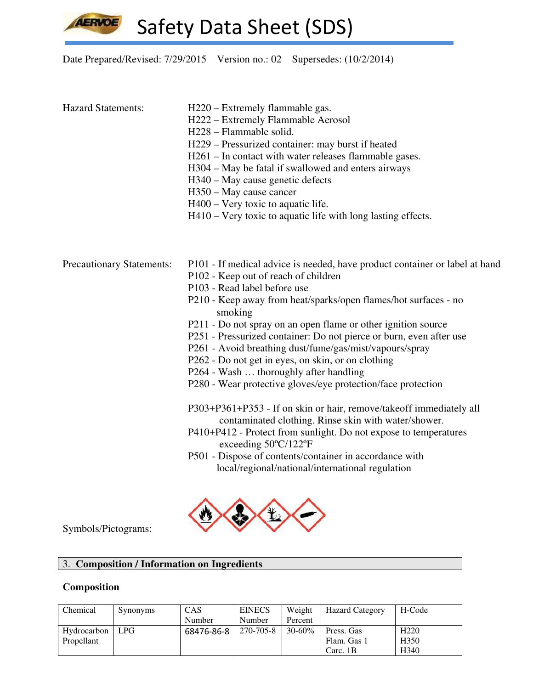

# Date Prepared/Revised: 7/29/2015 Version no.: 02 Supersedes: (10/2/2014)

| <b>Hazard Statements:</b>        | H220 – Extremely flammable gas.<br>H222 - Extremely Flammable Aerosol<br>H228 - Flammable solid.<br>H229 – Pressurized container: may burst if heated<br>H261 – In contact with water releases flammable gases.<br>H304 – May be fatal if swallowed and enters airways<br>H340 – May cause genetic defects<br>H350 – May cause cancer<br>H400 – Very toxic to aquatic life.<br>H410 – Very toxic to aquatic life with long lasting effects.                                                                                                                                                                                                                                                                                                                                                                                                                                                                                                              |
|----------------------------------|----------------------------------------------------------------------------------------------------------------------------------------------------------------------------------------------------------------------------------------------------------------------------------------------------------------------------------------------------------------------------------------------------------------------------------------------------------------------------------------------------------------------------------------------------------------------------------------------------------------------------------------------------------------------------------------------------------------------------------------------------------------------------------------------------------------------------------------------------------------------------------------------------------------------------------------------------------|
| <b>Precautionary Statements:</b> | P101 - If medical advice is needed, have product container or label at hand<br>P102 - Keep out of reach of children<br>P103 - Read label before use<br>P210 - Keep away from heat/sparks/open flames/hot surfaces - no<br>smoking<br>P211 - Do not spray on an open flame or other ignition source<br>P251 - Pressurized container: Do not pierce or burn, even after use<br>P261 - Avoid breathing dust/fume/gas/mist/vapours/spray<br>P262 - Do not get in eyes, on skin, or on clothing<br>P264 - Wash  thoroughly after handling<br>P280 - Wear protective gloves/eye protection/face protection<br>P303+P361+P353 - If on skin or hair, remove/takeoff immediately all<br>contaminated clothing. Rinse skin with water/shower.<br>P410+P412 - Protect from sunlight. Do not expose to temperatures<br>exceeding $50^{\circ}$ C/122°F<br>P501 - Dispose of contents/container in accordance with<br>local/regional/national/international regulation |



Symbols/Pictograms:

# 3. **Composition / Information on Ingredients**

# **Composition**

| Chemical    | <b>Synonyms</b> | CAS        | <b>EINECS</b> | Weight      | <b>Hazard Category</b> | H-Code           |
|-------------|-----------------|------------|---------------|-------------|------------------------|------------------|
|             |                 | Number     | Number        | Percent     |                        |                  |
| Hydrocarbon | <b>LPG</b>      | 68476-86-8 | 270-705-8     | $30 - 60\%$ | Press. Gas             | H <sub>220</sub> |
| Propellant  |                 |            |               |             | Flam. Gas 1            | H <sub>350</sub> |
|             |                 |            |               |             | Carc. 1B               | H340             |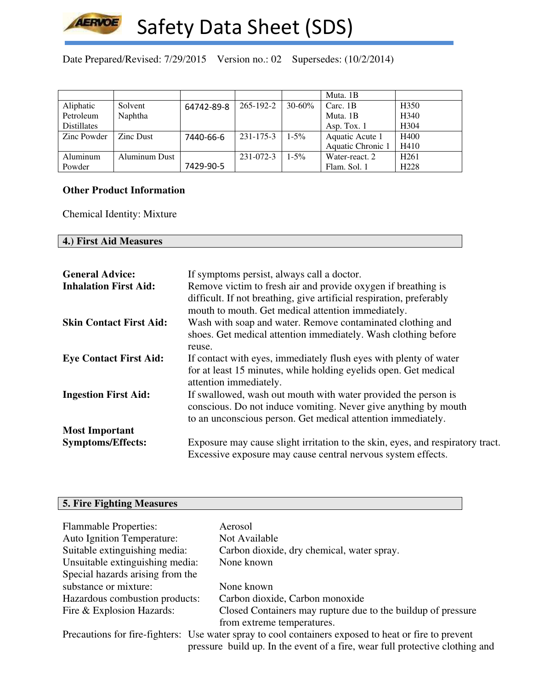

Date Prepared/Revised: 7/29/2015 Version no.: 02 Supersedes: (10/2/2014)

|                    |               |            |           |             | Muta. 1B          |                  |
|--------------------|---------------|------------|-----------|-------------|-------------------|------------------|
| Aliphatic          | Solvent       | 64742-89-8 | 265-192-2 | $30 - 60\%$ | Carc. 1B          | H <sub>350</sub> |
| Petroleum          | Naphtha       |            |           |             | Muta. 1B          | H <sub>340</sub> |
| <b>Distillates</b> |               |            |           |             | Asp. Tox. 1       | H <sub>304</sub> |
| Zinc Powder        | Zinc Dust     | 7440-66-6  | 231-175-3 | $1 - 5\%$   | Aquatic Acute 1   | H400             |
|                    |               |            |           |             | Aquatic Chronic 1 | H410             |
| Aluminum           | Aluminum Dust |            | 231-072-3 | $1 - 5\%$   | Water-react. 2    | H <sub>261</sub> |
| Powder             |               | 7429-90-5  |           |             | Flam. Sol. 1      | H <sub>228</sub> |

### **Other Product Information**

Chemical Identity: Mixture

# **4.) First Aid Measures**

| <b>General Advice:</b><br><b>Inhalation First Aid:</b> | If symptoms persist, always call a doctor.<br>Remove victim to fresh air and provide oxygen if breathing is<br>difficult. If not breathing, give artificial respiration, preferably               |
|--------------------------------------------------------|---------------------------------------------------------------------------------------------------------------------------------------------------------------------------------------------------|
| <b>Skin Contact First Aid:</b>                         | mouth to mouth. Get medical attention immediately.<br>Wash with soap and water. Remove contaminated clothing and<br>shoes. Get medical attention immediately. Wash clothing before                |
| <b>Eye Contact First Aid:</b>                          | reuse.<br>If contact with eyes, immediately flush eyes with plenty of water<br>for at least 15 minutes, while holding eyelids open. Get medical<br>attention immediately.                         |
| <b>Ingestion First Aid:</b>                            | If swallowed, wash out mouth with water provided the person is<br>conscious. Do not induce vomiting. Never give anything by mouth<br>to an unconscious person. Get medical attention immediately. |
| <b>Most Important</b>                                  |                                                                                                                                                                                                   |
| <b>Symptoms/Effects:</b>                               | Exposure may cause slight irritation to the skin, eyes, and respiratory tract.<br>Excessive exposure may cause central nervous system effects.                                                    |

# **5. Fire Fighting Measures**

| <b>Flammable Properties:</b>      | Aerosol                                                                                              |
|-----------------------------------|------------------------------------------------------------------------------------------------------|
| <b>Auto Ignition Temperature:</b> | Not Available                                                                                        |
| Suitable extinguishing media:     | Carbon dioxide, dry chemical, water spray.                                                           |
| Unsuitable extinguishing media:   | None known                                                                                           |
| Special hazards arising from the  |                                                                                                      |
| substance or mixture:             | None known                                                                                           |
| Hazardous combustion products:    | Carbon dioxide, Carbon monoxide                                                                      |
| Fire & Explosion Hazards:         | Closed Containers may rupture due to the buildup of pressure                                         |
|                                   | from extreme temperatures.                                                                           |
|                                   | Precautions for fire-fighters: Use water spray to cool containers exposed to heat or fire to prevent |
|                                   | pressure build up. In the event of a fire, wear full protective clothing and                         |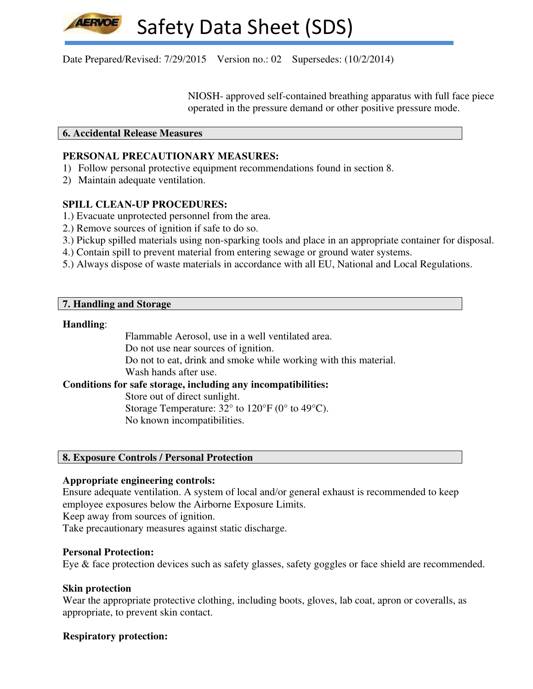Date Prepared/Revised: 7/29/2015 Version no.: 02 Supersedes: (10/2/2014)

 NIOSH- approved self-contained breathing apparatus with full face piece operated in the pressure demand or other positive pressure mode.

### **6. Accidental Release Measures**

## **PERSONAL PRECAUTIONARY MEASURES:**

- 1) Follow personal protective equipment recommendations found in section 8.
- 2) Maintain adequate ventilation.

## **SPILL CLEAN-UP PROCEDURES:**

- 1.) Evacuate unprotected personnel from the area.
- 2.) Remove sources of ignition if safe to do so.
- 3.) Pickup spilled materials using non-sparking tools and place in an appropriate container for disposal.
- 4.) Contain spill to prevent material from entering sewage or ground water systems.
- 5.) Always dispose of waste materials in accordance with all EU, National and Local Regulations.

### **7. Handling and Storage**

#### **Handling**:

Flammable Aerosol, use in a well ventilated area.

Do not use near sources of ignition.

Do not to eat, drink and smoke while working with this material.

Wash hands after use.

# **Conditions for safe storage, including any incompatibilities:**

Store out of direct sunlight.

Storage Temperature:  $32^{\circ}$  to  $120^{\circ}F$  (0° to  $49^{\circ}C$ ). No known incompatibilities.

## **8. Exposure Controls / Personal Protection**

#### **Appropriate engineering controls:**

Ensure adequate ventilation. A system of local and/or general exhaust is recommended to keep employee exposures below the Airborne Exposure Limits.

Keep away from sources of ignition.

Take precautionary measures against static discharge.

#### **Personal Protection:**

Eye & face protection devices such as safety glasses, safety goggles or face shield are recommended.

## **Skin protection**

Wear the appropriate protective clothing, including boots, gloves, lab coat, apron or coveralls, as appropriate, to prevent skin contact.

## **Respiratory protection:**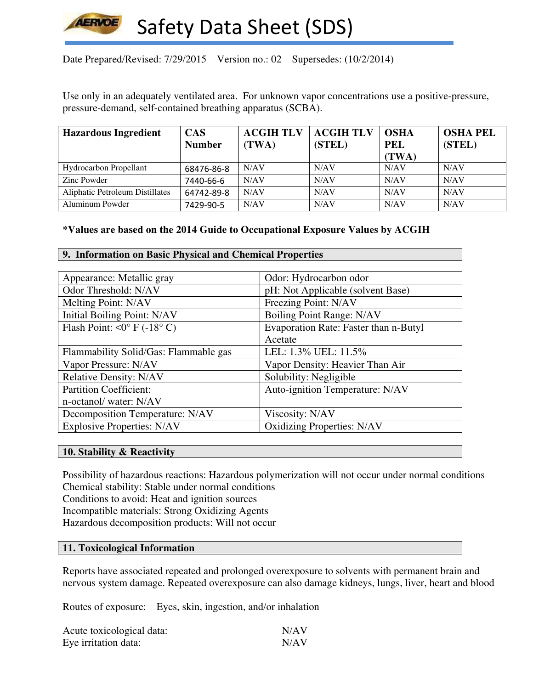

# Date Prepared/Revised: 7/29/2015 Version no.: 02 Supersedes: (10/2/2014)

Use only in an adequately ventilated area. For unknown vapor concentrations use a positive-pressure, pressure-demand, self-contained breathing apparatus (SCBA).

| <b>Hazardous Ingredient</b>     | <b>CAS</b>    | <b>ACGIH TLV</b> | <b>ACGIH TLV</b> | <b>OSHA</b> | <b>OSHA PEL</b> |
|---------------------------------|---------------|------------------|------------------|-------------|-----------------|
|                                 | <b>Number</b> | (TWA)            | (STEL)           | <b>PEL</b>  | (STEL)          |
|                                 |               |                  |                  | (TWA)       |                 |
| Hydrocarbon Propellant          | 68476-86-8    | N/AV             | N/AV             | N/AV        | N/AV            |
| Zinc Powder                     | 7440-66-6     | N/AV             | N/AV             | N/AV        | N/AV            |
| Aliphatic Petroleum Distillates | 64742-89-8    | N/AV             | N/AV             | N/AV        | N/AV            |
| Aluminum Powder                 | 7429-90-5     | N/AV             | N/AV             | N/AV        | N/AV            |

### **\*Values are based on the 2014 Guide to Occupational Exposure Values by ACGIH**

#### **9. Information on Basic Physical and Chemical Properties**

| Appearance: Metallic gray             | Odor: Hydrocarbon odor                |
|---------------------------------------|---------------------------------------|
| Odor Threshold: N/AV                  | pH: Not Applicable (solvent Base)     |
| Melting Point: N/AV                   | Freezing Point: N/AV                  |
| Initial Boiling Point: N/AV           | Boiling Point Range: N/AV             |
| Flash Point: < $0^{\circ}$ F (-18° C) | Evaporation Rate: Faster than n-Butyl |
|                                       | Acetate                               |
| Flammability Solid/Gas: Flammable gas | LEL: 1.3% UEL: 11.5%                  |
| Vapor Pressure: N/AV                  | Vapor Density: Heavier Than Air       |
| <b>Relative Density: N/AV</b>         | Solubility: Negligible                |
| <b>Partition Coefficient:</b>         | Auto-ignition Temperature: N/AV       |
| n-octanol/water: N/AV                 |                                       |
| Decomposition Temperature: N/AV       | Viscosity: N/AV                       |
| <b>Explosive Properties: N/AV</b>     | <b>Oxidizing Properties: N/AV</b>     |

#### **10. Stability & Reactivity**

Possibility of hazardous reactions: Hazardous polymerization will not occur under normal conditions Chemical stability: Stable under normal conditions Conditions to avoid: Heat and ignition sources Incompatible materials: Strong Oxidizing Agents Hazardous decomposition products: Will not occur

#### **11. Toxicological Information**

Reports have associated repeated and prolonged overexposure to solvents with permanent brain and nervous system damage. Repeated overexposure can also damage kidneys, lungs, liver, heart and blood

Routes of exposure: Eyes, skin, ingestion, and/or inhalation

| Acute toxicological data: | N/AV |
|---------------------------|------|
| Eye irritation data:      | N/AV |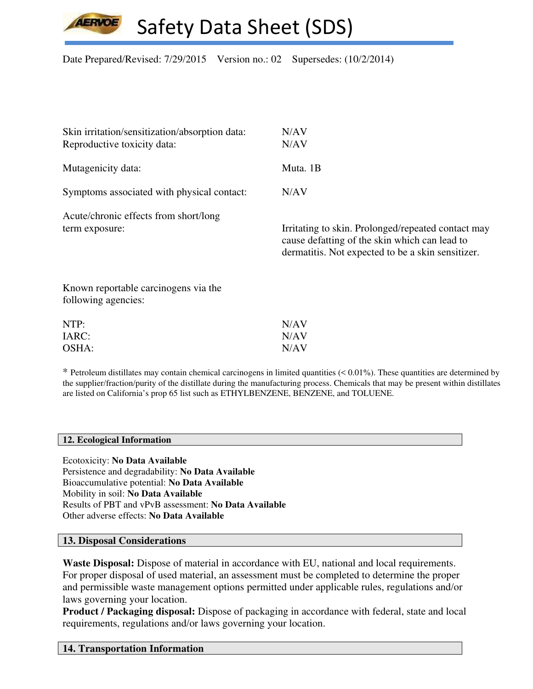Date Prepared/Revised: 7/29/2015 Version no.: 02 Supersedes: (10/2/2014)

| Skin irritation/sensitization/absorption data:              | N/AV                                                                                                                                                     |
|-------------------------------------------------------------|----------------------------------------------------------------------------------------------------------------------------------------------------------|
| Reproductive toxicity data:                                 | N/AV                                                                                                                                                     |
| Mutagenicity data:                                          | Muta. 1B                                                                                                                                                 |
| Symptoms associated with physical contact:                  | N/AV                                                                                                                                                     |
| Acute/chronic effects from short/long<br>term exposure:     | Irritating to skin. Prolonged/repeated contact may<br>cause defatting of the skin which can lead to<br>dermatitis. Not expected to be a skin sensitizer. |
| Known reportable carcinogens via the<br>following agencies: |                                                                                                                                                          |
| NTP:                                                        | N/AV                                                                                                                                                     |

\* Petroleum distillates may contain chemical carcinogens in limited quantities (< 0.01%). These quantities are determined by the supplier/fraction/purity of the distillate during the manufacturing process. Chemicals that may be present within distillates are listed on California's prop 65 list such as ETHYLBENZENE, BENZENE, and TOLUENE.

#### **12. Ecological Information**

Ecotoxicity: **No Data Available** Persistence and degradability: **No Data Available** Bioaccumulative potential: **No Data Available** Mobility in soil: **No Data Available** Results of PBT and vPvB assessment: **No Data Available** Other adverse effects: **No Data Available**

IARC: N/AV OSHA: N/AV

#### **13. Disposal Considerations**

**Waste Disposal:** Dispose of material in accordance with EU, national and local requirements. For proper disposal of used material, an assessment must be completed to determine the proper and permissible waste management options permitted under applicable rules, regulations and/or laws governing your location.

**Product / Packaging disposal:** Dispose of packaging in accordance with federal, state and local requirements, regulations and/or laws governing your location.

## **14. Transportation Information**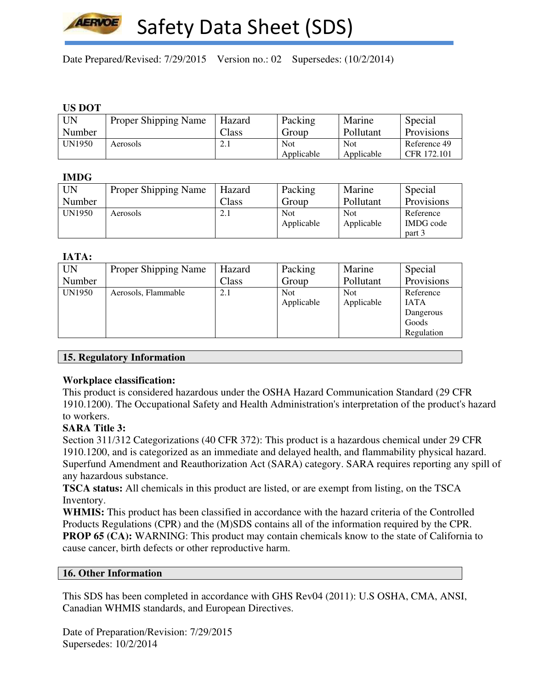

Date Prepared/Revised: 7/29/2015 Version no.: 02 Supersedes: (10/2/2014)

#### **US DOT**

| <b>UN</b>     | Proper Shipping Name | Hazard               | Packing    | Marine     | Special      |
|---------------|----------------------|----------------------|------------|------------|--------------|
| Number        |                      | $\text{Class}$       | Group      | Pollutant  | Provisions   |
| <b>UN1950</b> | Aerosols             | $\mathcal{L}$<br>4.1 | <b>Not</b> | <b>Not</b> | Reference 49 |
|               |                      |                      | Applicable | Applicable | CFR 172.101  |

### **IMDG**

| UN            | <b>Proper Shipping Name</b> | Hazard                         | Packing    | Marine     | Special    |
|---------------|-----------------------------|--------------------------------|------------|------------|------------|
| Number        |                             | Class                          | Group      | Pollutant  | Provisions |
| <b>UN1950</b> | Aerosols                    | $\bigcap$<br>$\mathcal{L}$ . 1 | <b>Not</b> | <b>Not</b> | Reference  |
|               |                             |                                | Applicable | Applicable | IMDG code  |
|               |                             |                                |            |            | part 3     |

### **IATA:**

| <b>UN</b>     | Proper Shipping Name | Hazard | Packing    | Marine     | Special     |
|---------------|----------------------|--------|------------|------------|-------------|
| Number        |                      | Class  | Group      | Pollutant  | Provisions  |
| <b>UN1950</b> | Aerosols, Flammable  | 2.1    | <b>Not</b> | <b>Not</b> | Reference   |
|               |                      |        | Applicable | Applicable | <b>IATA</b> |
|               |                      |        |            |            | Dangerous   |
|               |                      |        |            |            | Goods       |
|               |                      |        |            |            | Regulation  |

## **15. Regulatory Information**

## **Workplace classification:**

This product is considered hazardous under the OSHA Hazard Communication Standard (29 CFR 1910.1200). The Occupational Safety and Health Administration's interpretation of the product's hazard to workers.

## **SARA Title 3:**

Section 311/312 Categorizations (40 CFR 372): This product is a hazardous chemical under 29 CFR 1910.1200, and is categorized as an immediate and delayed health, and flammability physical hazard. Superfund Amendment and Reauthorization Act (SARA) category. SARA requires reporting any spill of any hazardous substance.

**TSCA status:** All chemicals in this product are listed, or are exempt from listing, on the TSCA Inventory.

**WHMIS:** This product has been classified in accordance with the hazard criteria of the Controlled Products Regulations (CPR) and the (M)SDS contains all of the information required by the CPR. **PROP 65 (CA):** WARNING: This product may contain chemicals know to the state of California to cause cancer, birth defects or other reproductive harm.

# **16. Other Information**

This SDS has been completed in accordance with GHS Rev04 (2011): U.S OSHA, CMA, ANSI, Canadian WHMIS standards, and European Directives.

Date of Preparation/Revision: 7/29/2015 Supersedes: 10/2/2014